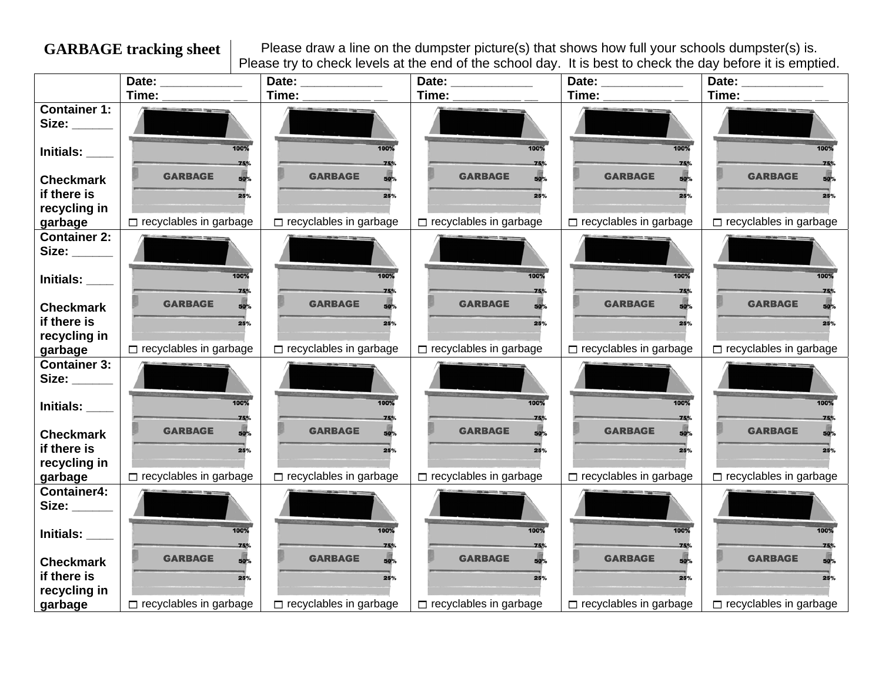**GARBAGE tracking sheet** Please draw a line on the dumpster picture(s) that shows how full your schools dumpster(s) is. Please try to check levels at the end of the school day. It is best to check the day before it is emptied.

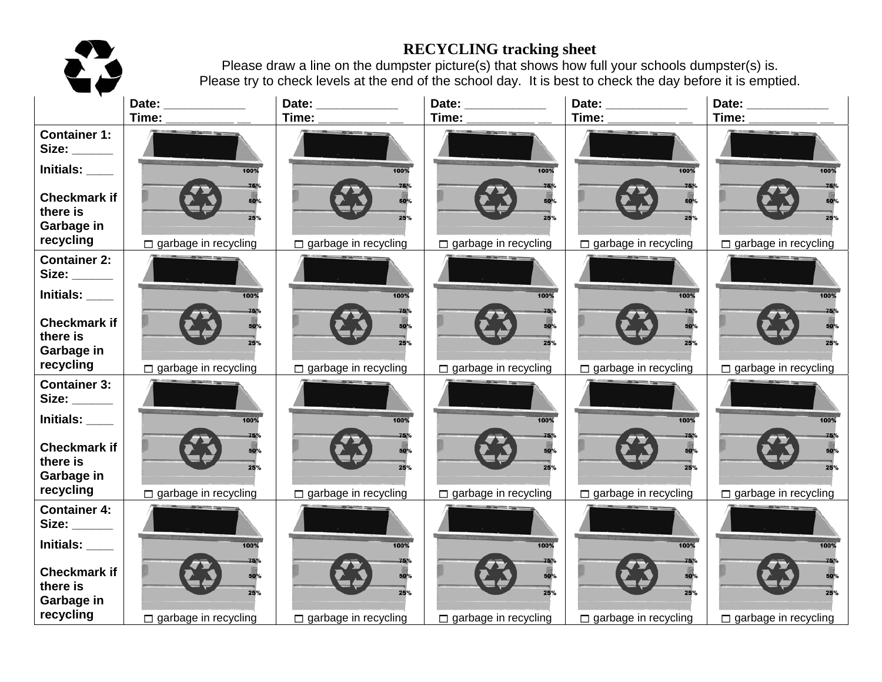# 23

## **RECYCLING tracking sheet**

Please draw a line on the dumpster picture(s) that shows how full your schools dumpster(s) is. Please try to check levels at the end of the school day. It is best to check the day before it is emptied.

|                                    | Date:                       | Date: _____________         | Date:                       | Date:                       | Date:                       |
|------------------------------------|-----------------------------|-----------------------------|-----------------------------|-----------------------------|-----------------------------|
|                                    | Time:                       | Time:                       | Time:                       | Time:                       | Time:                       |
| <b>Container 1:</b><br>Size: _____ |                             |                             |                             |                             |                             |
|                                    |                             |                             |                             |                             |                             |
| Initials: ____                     | 100%                        | 100%                        | 100%                        | 100%                        | 100%                        |
| <b>Checkmark if</b>                | 50%                         | <b>50%</b>                  |                             | 50%                         |                             |
| there is                           | 25%                         |                             |                             | 250                         |                             |
| Garbage in                         |                             |                             |                             |                             |                             |
| recycling                          | $\Box$ garbage in recycling | $\Box$ garbage in recycling | $\Box$ garbage in recycling | $\Box$ garbage in recycling | $\Box$ garbage in recycling |
| <b>Container 2:</b>                |                             |                             |                             |                             |                             |
| Size:                              |                             |                             |                             |                             |                             |
| Initials:                          | 100%                        | 100%                        | 100%                        | 100%                        | 100%                        |
| <b>Checkmark if</b>                | 75%<br>50%                  | 50%                         |                             | 75%<br>50%                  |                             |
| there is                           | 25%                         |                             | <b>50%</b><br><b>25%</b>    | <b>25%</b>                  |                             |
| Garbage in                         |                             |                             |                             |                             |                             |
| recycling                          | $\Box$ garbage in recycling | $\Box$ garbage in recycling | $\Box$ garbage in recycling | $\Box$ garbage in recycling | $\Box$ garbage in recycling |
| <b>Container 3:</b>                |                             |                             |                             |                             |                             |
| Size: _____                        |                             |                             |                             |                             |                             |
| Initials: ____                     | 100%                        | 100%                        | 100%                        | 100%                        | 100%                        |
| <b>Checkmark if</b>                |                             |                             |                             |                             |                             |
| there is                           | <b>50%</b>                  | 50%                         |                             | <b>50%</b>                  |                             |
| Garbage in                         | 25%                         | 25%                         | 25%                         | 25%                         |                             |
| recycling                          | $\Box$ garbage in recycling | $\Box$ garbage in recycling | $\Box$ garbage in recycling | $\Box$ garbage in recycling | $\Box$ garbage in recycling |
| <b>Container 4:</b>                |                             |                             |                             |                             |                             |
| Size: _____                        |                             |                             |                             |                             |                             |
| Initials: ____                     | 100%                        | 100%                        | 100%                        | 100%                        | 100%                        |
|                                    | 75%                         |                             |                             | 75%                         |                             |
| <b>Checkmark if</b><br>there is    | 50 <sup>%</sup>             | 50 <sub>%</sub>             |                             | 50°                         |                             |
| Garbage in                         | 25%                         | <b>25%</b>                  | <b>25%</b>                  | <b>25%</b>                  |                             |
| recycling                          | $\Box$ garbage in recycling | $\Box$ garbage in recycling | $\Box$ garbage in recycling | $\Box$ garbage in recycling | $\Box$ garbage in recycling |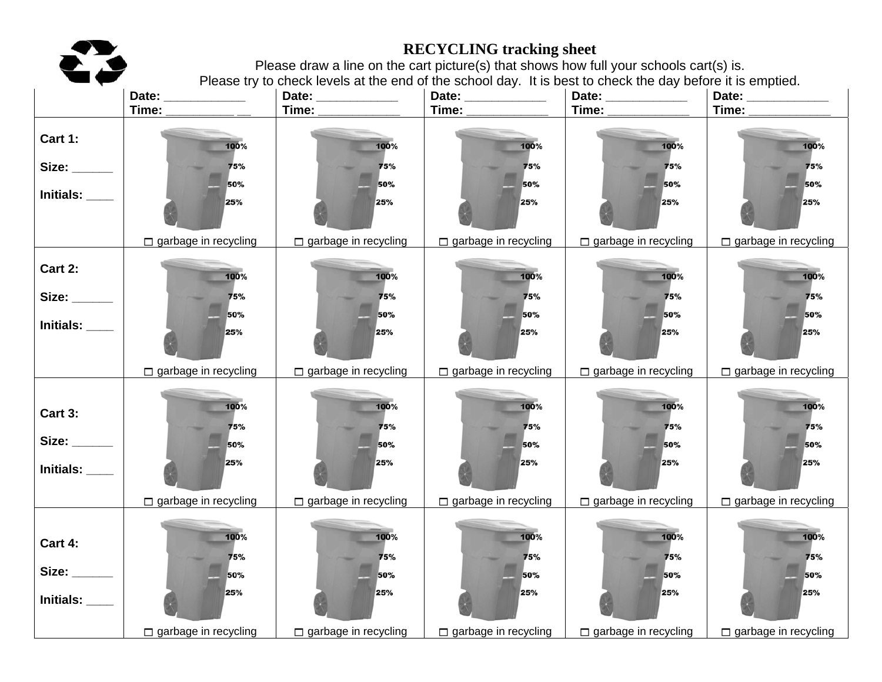

## **RECYCLING tracking sheet**

Please draw a line on the cart picture(s) that shows how full your schools cart(s) is. Please try to check levels at the end of the school day. It is best to check the day before it is emptied.

|                  | Date: _____________         | Date: _____________         | Date: _____________         | Date: ____________          | Date: _____________         |
|------------------|-----------------------------|-----------------------------|-----------------------------|-----------------------------|-----------------------------|
|                  | Time:                       | Time: _____________         | Time: _____________         | Time: $\qquad \qquad$       | Time: ______________        |
| Cart 1:          | 100%                        | 100%                        | 100%                        | 100%                        | 100%                        |
|                  | 75%                         | 75%                         | 75%                         | 75%                         | 75%                         |
| Initials: $\_\_$ | 50%<br>25%                  | 50%<br>25%                  | 50%<br>25%                  | 50%<br>25%                  | 50%<br>25%                  |
|                  | $\Box$ garbage in recycling | $\Box$ garbage in recycling | $\Box$ garbage in recycling | $\Box$ garbage in recycling | $\Box$ garbage in recycling |
| Cart 2:          | 100%                        | 100%                        | 100%                        | 100%                        | 100%                        |
|                  | 75%                         | 75%                         | 75%                         | 75%                         | 75%                         |
| Initials: $\_\_$ | 50%<br>25%                  | 50%<br>25%                  | 50%<br>25%                  | 50%<br>25%                  | 50%<br>25%                  |
|                  | $\Box$ garbage in recycling | $\Box$ garbage in recycling | $\Box$ garbage in recycling | $\Box$ garbage in recycling | $\Box$ garbage in recycling |
| Cart 3:          | 100%<br>75%                 | 100%<br>75%                 | 100%<br>75%                 | 100%<br>75%                 | 100%<br>75%                 |
|                  | 50%                         | 50%                         | 50%                         | 50%                         | 50%                         |
| Initials: $\_\_$ | 25%                         | 25%                         | 25%                         | 25%                         | 25%                         |
|                  | garbage in recycling        | $\Box$ garbage in recycling | $\Box$ garbage in recycling | $\Box$ garbage in recycling | $\Box$ garbage in recycling |
|                  | 100%                        | 100%                        | 100%                        | 100%                        | 100%                        |
| Cart 4:          | 75%                         | 75%                         | 75%                         | 75%                         | 75%                         |
| Size: ______     | 50%                         | 50%                         | 50%                         | 50%                         | 50%                         |
| Initials: ___    | 25%                         | 25%                         | 25%                         | 25%                         | 25%                         |
|                  | garbage in recycling        | $\Box$ garbage in recycling | $\Box$ garbage in recycling | garbage in recycling        | garbage in recycling        |